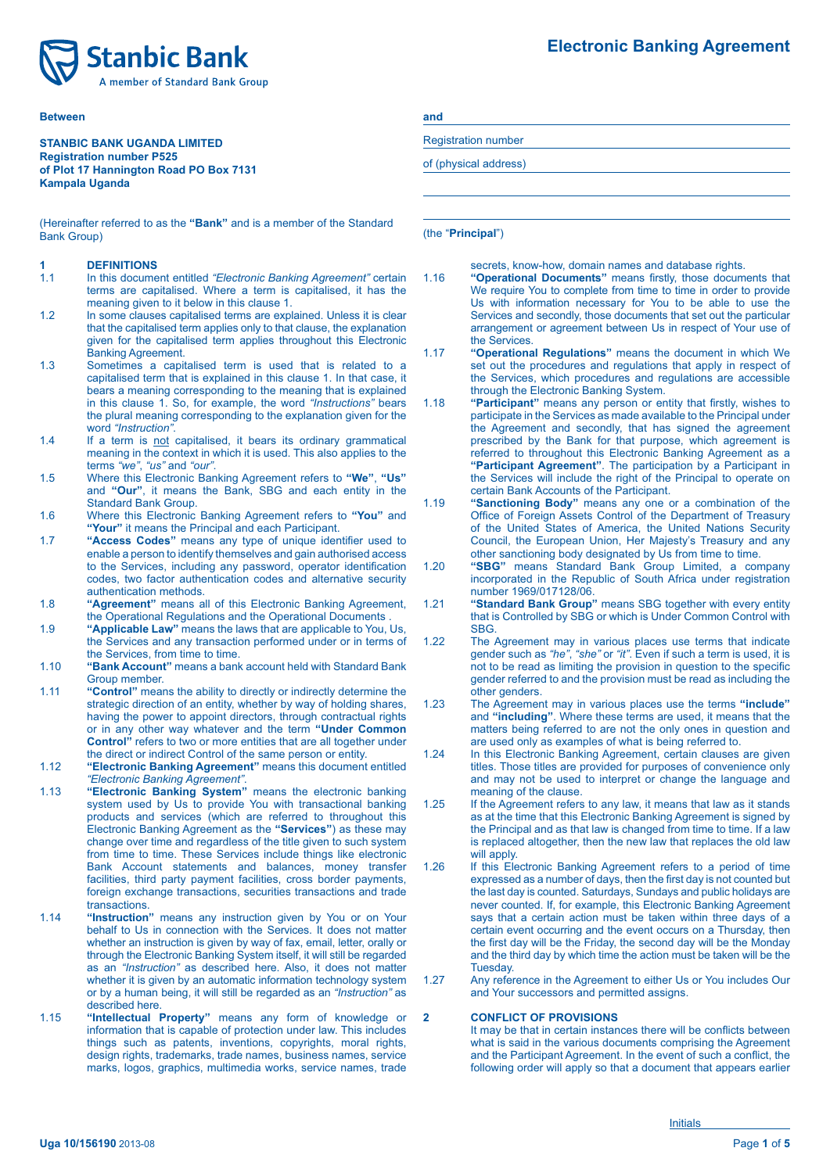

#### **Between and**

#### **STANBIC BANK UGANDA LIMITED Registration number P525 of Plot 17 Hannington Road PO Box 7131 Kampala Uganda**

(Hereinafter referred to as the "**Bank**" and is a member of the Standard (the "**Principal**") Bank Group)

# **1 DEFINITIONS**<br>**1.1** In this docume

- 1.1 In this document entitled *"Electronic Banking Agreement"* certain terms are capitalised. Where a term is capitalised, it has the meaning given to it below in this clause 1.
- 1.2 In some clauses capitalised terms are explained. Unless it is clear that the capitalised term applies only to that clause, the explanation given for the capitalised term applies throughout this Electronic Banking Agreement.
- 1.3 Sometimes a capitalised term is used that is related to a capitalised term that is explained in this clause 1. In that case, it bears a meaning corresponding to the meaning that is explained in this clause 1. So, for example, the word *"Instructions"* bears the plural meaning corresponding to the explanation given for the
- word *"Instruction"*. 1.4 If a term is not capitalised, it bears its ordinary grammatical meaning in the context in which it is used. This also applies to the terms "we", "us" and "our".
- terms *"we"*, *"us"* and *"our"*. 1.5 Where this Electronic Banking Agreement refers to **"We"**, **"Us"** and **"Our"**, it means the Bank, SBG and each entity in the Standard Bank Group.
- 1.6 Where this Electronic Banking Agreement refers to **"You"** and **"Your"** it means the Principal and each Participant.
- 1.7 **"Access Codes"** means any type of unique identifier used to enable a person to identify themselves and gain authorised access to the Services, including any password, operator identification codes, two factor authentication codes and alternative security authentication methods.
- 1.8 **"Agreement"** means all of this Electronic Banking Agreement, the Operational Regulations and the Operational Documents .
- 1.9 **"Applicable Law"** means the laws that are applicable to You, Us, the Services and any transaction performed under or in terms of the Services, from time to time.
- 1.10 **"Bank Account"** means a bank account held with Standard Bank Group member.
- 1.11 **"Control"** means the ability to directly or indirectly determine the strategic direction of an entity, whether by way of holding shares, having the power to appoint directors, through contractual rights or in any other way whatever and the term **"Under Common Control"** refers to two or more entities that are all together under the direct or indirect Control of the same person or entity.
- 1.12 **"Electronic Banking Agreement"** means this document entitled *"Electronic Banking Agreement"*.
- 1.13 **"Electronic Banking System"** means the electronic banking system used by Us to provide You with transactional banking products and services (which are referred to throughout this Electronic Banking Agreement as the **"Services"**) as these may change over time and regardless of the title given to such system from time to time. These Services include things like electronic Bank Account statements and balances, money transfer facilities, third party payment facilities, cross border payments, foreign exchange transactions, securities transactions and trade transactions.
- 1.14 **"Instruction"** means any instruction given by You or on Your behalf to Us in connection with the Services. It does not matter whether an instruction is given by way of fax, email, letter, orally or through the Electronic Banking System itself, it will still be regarded as an *"Instruction"* as described here. Also, it does not matter whether it is given by an automatic information technology system or by a human being, it will still be regarded as an *"Instruction"* as described here.
- 1.15 **"Intellectual Property"** means any form of knowledge or information that is capable of protection under law. This includes things such as patents, inventions, copyrights, moral rights, design rights, trademarks, trade names, business names, service marks, logos, graphics, multimedia works, service names, trade

Registration number

of (physical address)

secrets, know-how, domain names and database rights.

- 1.16 **"Operational Documents"** means firstly, those documents that We require You to complete from time to time in order to provide Us with information necessary for You to be able to use the Services and secondly, those documents that set out the particular arrangement or agreement between Us in respect of Your use of the Services.
- 1.17 **"Operational Regulations"** means the document in which We set out the procedures and regulations that apply in respect of the Services, which procedures and regulations are accessible through the Electronic Banking System.
- 1.18 **"Participant"** means any person or entity that firstly, wishes to participate in the Services as made available to the Principal under the Agreement and secondly, that has signed the agreement prescribed by the Bank for that purpose, which agreement is referred to throughout this Electronic Banking Agreement as a **"Participant Agreement"**. The participation by a Participant in the Services will include the right of the Principal to operate on certain Bank Accounts of the Participant.
- 1.19 **"Sanctioning Body"** means any one or a combination of the Office of Foreign Assets Control of the Department of Treasury of the United States of America, the United Nations Security Council, the European Union, Her Majesty's Treasury and any other sanctioning body designated by Us from time to time.
- 1.20 **"SBG"** means Standard Bank Group Limited, a company incorporated in the Republic of South Africa under registration number 1969/017128/06.
- 1.21 **"Standard Bank Group"** means SBG together with every entity that is Controlled by SBG or which is Under Common Control with SBG.
- 1.22 The Agreement may in various places use terms that indicate gender such as *"he"*, *"she"* or *"it"*. Even if such a term is used, it is not to be read as limiting the provision in question to the specific gender referred to and the provision must be read as including the other genders.
- 1.23 The Agreement may in various places use the terms **"include"** and **"including"**. Where these terms are used, it means that the matters being referred to are not the only ones in question and are used only as examples of what is being referred to.
- 1.24 In this Electronic Banking Agreement, certain clauses are given titles. Those titles are provided for purposes of convenience only and may not be used to interpret or change the language and meaning of the clause.
- 1.25 If the Agreement refers to any law, it means that law as it stands as at the time that this Electronic Banking Agreement is signed by the Principal and as that law is changed from time to time. If a law is replaced altogether, then the new law that replaces the old law will apply.
- 1.26 If this Electronic Banking Agreement refers to a period of time expressed as a number of days, then the first day is not counted but the last day is counted. Saturdays, Sundays and public holidays are never counted. If, for example, this Electronic Banking Agreement says that a certain action must be taken within three days of a certain event occurring and the event occurs on a Thursday, then the first day will be the Friday, the second day will be the Monday and the third day by which time the action must be taken will be the Tuesday.
- 1.27 Any reference in the Agreement to either Us or You includes Our and Your successors and permitted assigns.

#### **2 CONFLICT OF PROVISIONS**

It may be that in certain instances there will be conflicts between what is said in the various documents comprising the Agreement and the Participant Agreement. In the event of such a conflict, the following order will apply so that a document that appears earlier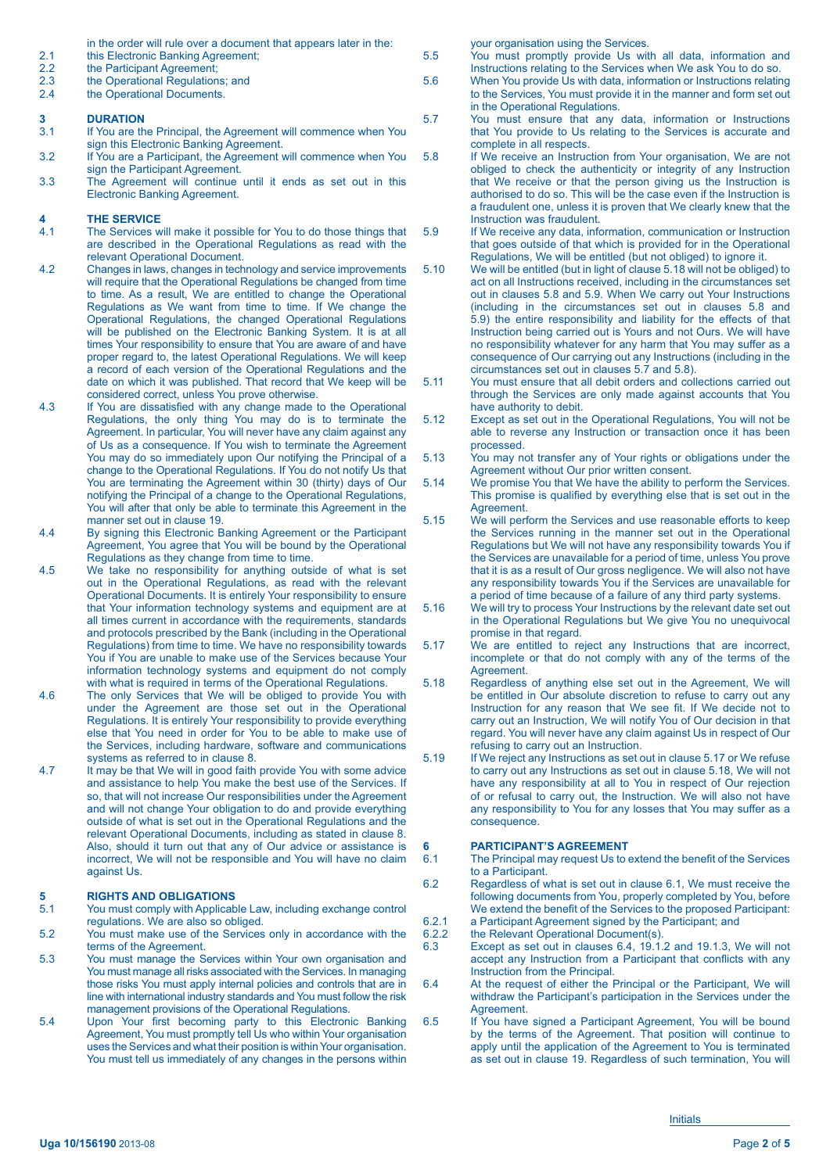- in the order will rule over a document that appears later in the:
- 2.1 this Electronic Banking Agreement;<br>2.2 the Participant Agreement;
- 2.2 the Participant Agreement;<br>2.3 the Operational Regulation
- 2.3 the Operational Regulations; and<br>2.4 the Operational Documents.
- the Operational Documents.

### **3 DURATION**<br>3.1 If You are the

- If You are the Principal, the Agreement will commence when You sign this Electronic Banking Agreement.
- 3.2 If You are a Participant, the Agreement will commence when You sign the Participant Agreement. 3.3 The Agreement will continue until it ends as set out in this
- Electronic Banking Agreement.

## **4** THE SERVICE<br>4.1 The Services w

- The Services will make it possible for You to do those things that are described in the Operational Regulations as read with the relevant Operational Document.
- 4.2 Changes in laws, changes in technology and service improvements will require that the Operational Regulations be changed from time to time. As a result, We are entitled to change the Operational Regulations as We want from time to time. If We change the Operational Regulations, the changed Operational Regulations will be published on the Electronic Banking System. It is at all times Your responsibility to ensure that You are aware of and have proper regard to, the latest Operational Regulations. We will keep a record of each version of the Operational Regulations and the date on which it was published. That record that We keep will be considered correct, unless You prove otherwise.
- 4.3 If You are dissatisfied with any change made to the Operational Regulations, the only thing You may do is to terminate the Agreement. In particular, You will never have any claim against any of Us as a consequence. If You wish to terminate the Agreement You may do so immediately upon Our notifying the Principal of a change to the Operational Regulations. If You do not notify Us that You are terminating the Agreement within 30 (thirty) days of Our notifying the Principal of a change to the Operational Regulations, You will after that only be able to terminate this Agreement in the manner set out in clause 19.
- 4.4 By signing this Electronic Banking Agreement or the Participant Agreement, You agree that You will be bound by the Operational Regulations as they change from time to time.
- 4.5 We take no responsibility for anything outside of what is set out in the Operational Regulations, as read with the relevant Operational Documents. It is entirely Your responsibility to ensure that Your information technology systems and equipment are at all times current in accordance with the requirements, standards and protocols prescribed by the Bank (including in the Operational Regulations) from time to time. We have no responsibility towards You if You are unable to make use of the Services because Your information technology systems and equipment do not comply with what is required in terms of the Operational Regulations.
- 4.6 The only Services that We will be obliged to provide You with under the Agreement are those set out in the Operational Regulations. It is entirely Your responsibility to provide everything else that You need in order for You to be able to make use of the Services, including hardware, software and communications systems as referred to in clause 8.
- 4.7 It may be that We will in good faith provide You with some advice and assistance to help You make the best use of the Services. If so, that will not increase Our responsibilities under the Agreement and will not change Your obligation to do and provide everything outside of what is set out in the Operational Regulations and the relevant Operational Documents, including as stated in clause 8. Also, should it turn out that any of Our advice or assistance is incorrect, We will not be responsible and You will have no claim against Us.

## **5 RIGHTS AND OBLIGATIONS**<br>5.1 You must comply with Applicable

- You must comply with Applicable Law, including exchange control regulations. We are also so obliged.
- 5.2 You must make use of the Services only in accordance with the terms of the Agreement.
- 5.3 You must manage the Services within Your own organisation and You must manage all risks associated with the Services. In managing those risks You must apply internal policies and controls that are in line with international industry standards and You must follow the risk management provisions of the Operational Regulations.
- 5.4 Upon Your first becoming party to this Electronic Banking Agreement, You must promptly tell Us who within Your organisation uses the Services and what their position is within Your organisation. You must tell us immediately of any changes in the persons within

your organisation using the Services.

- 5.5 You must promptly provide Us with all data, information and Instructions relating to the Services when We ask You to do so.
- 5.6 When You provide Us with data, information or Instructions relating to the Services, You must provide it in the manner and form set out in the Operational Regulations.
- 5.7 You must ensure that any data, information or Instructions that You provide to Us relating to the Services is accurate and complete in all respects.
- 5.8 If We receive an Instruction from Your organisation, We are not obliged to check the authenticity or integrity of any Instruction that We receive or that the person giving us the Instruction is authorised to do so. This will be the case even if the Instruction is a fraudulent one, unless it is proven that We clearly knew that the Instruction was fraudulent.
- 5.9 If We receive any data, information, communication or Instruction that goes outside of that which is provided for in the Operational Regulations, We will be entitled (but not obliged) to ignore it.
- 5.10 We will be entitled (but in light of clause 5.18 will not be obliged) to act on all Instructions received, including in the circumstances set out in clauses 5.8 and 5.9. When We carry out Your Instructions (including in the circumstances set out in clauses 5.8 and 5.9) the entire responsibility and liability for the effects of that Instruction being carried out is Yours and not Ours. We will have no responsibility whatever for any harm that You may suffer as a consequence of Our carrying out any Instructions (including in the circumstances set out in clauses 5.7 and 5.8).
- 5.11 You must ensure that all debit orders and collections carried out through the Services are only made against accounts that You have authority to debit.
- 5.12 Except as set out in the Operational Regulations, You will not be able to reverse any Instruction or transaction once it has been processed.
- 5.13 You may not transfer any of Your rights or obligations under the Agreement without Our prior written consent.
- 5.14 We promise You that We have the ability to perform the Services. This promise is qualified by everything else that is set out in the Agreement.
- 5.15 We will perform the Services and use reasonable efforts to keep the Services running in the manner set out in the Operational Regulations but We will not have any responsibility towards You if the Services are unavailable for a period of time, unless You prove that it is as a result of Our gross negligence. We will also not have any responsibility towards You if the Services are unavailable for a period of time because of a failure of any third party systems.
- 5.16 We will try to process Your Instructions by the relevant date set out in the Operational Regulations but We give You no unequivocal promise in that regard.
- 5.17 We are entitled to reject any Instructions that are incorrect, incomplete or that do not comply with any of the terms of the Agreement.
- 5.18 Regardless of anything else set out in the Agreement, We will be entitled in Our absolute discretion to refuse to carry out any Instruction for any reason that We see fit. If We decide not to carry out an Instruction, We will notify You of Our decision in that regard. You will never have any claim against Us in respect of Our refusing to carry out an Instruction.
- 5.19 If We reject any Instructions as set out in clause 5.17 or We refuse to carry out any Instructions as set out in clause 5.18, We will not have any responsibility at all to You in respect of Our rejection of or refusal to carry out, the Instruction. We will also not have any responsibility to You for any losses that You may suffer as a consequence.

# **6 PARTICIPANT'S AGREEMENT**<br>6.1 The Principal may request Us to a

- The Principal may request Us to extend the benefit of the Services to a Participant.
- 6.2 Regardless of what is set out in clause 6.1, We must receive the following documents from You, properly completed by You, before We extend the benefit of the Services to the proposed Participant:
- 6.2.1 a Participant Agreement signed by the Participant; and 6.2.2 the Relevant Operational Document(s).
- 6.2.2 the Relevant Operational Document(s).<br>6.3 Except as set out in clauses 6.4, 19.1.
- Except as set out in clauses 6.4,  $19.1.2$  and 19.1.3, We will not accept any Instruction from a Participant that conflicts with any Instruction from the Principal.
- 6.4 At the request of either the Principal or the Participant, We will withdraw the Participant's participation in the Services under the Agreement.
- 6.5 If You have signed a Participant Agreement, You will be bound by the terms of the Agreement. That position will continue to apply until the application of the Agreement to You is terminated as set out in clause 19. Regardless of such termination, You will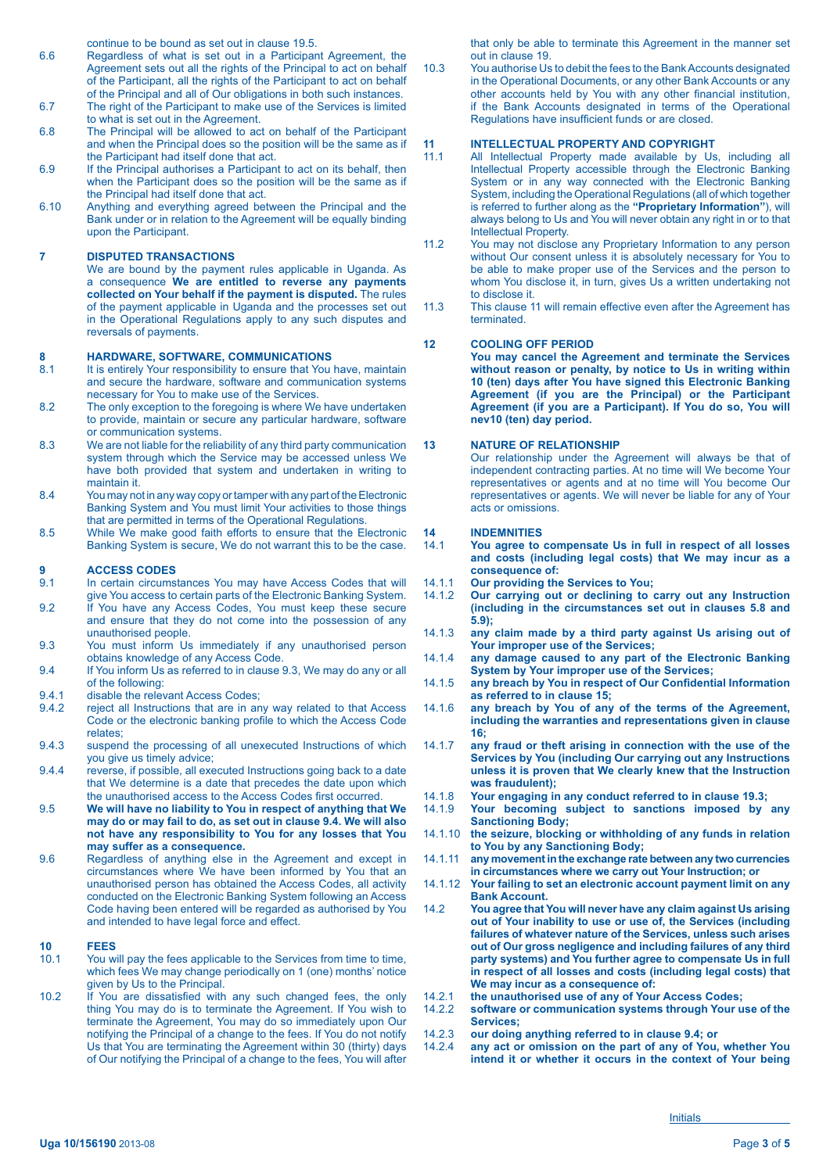continue to be bound as set out in clause 19.5.

- 6.6 Regardless of what is set out in a Participant Agreement, the Agreement sets out all the rights of the Principal to act on behalf of the Participant, all the rights of the Participant to act on behalf of the Principal and all of Our obligations in both such instances.
- 6.7 The right of the Participant to make use of the Services is limited to what is set out in the Agreement.
- 6.8 The Principal will be allowed to act on behalf of the Participant and when the Principal does so the position will be the same as if the Participant had itself done that act.
- 6.9 If the Principal authorises a Participant to act on its behalf, then when the Participant does so the position will be the same as if the Principal had itself done that act.
- 6.10 Anything and everything agreed between the Principal and the Bank under or in relation to the Agreement will be equally binding upon the Participant.

#### **7 DISPUTED TRANSACTIONS**

 We are bound by the payment rules applicable in Uganda. As a consequence **We are entitled to reverse any payments collected on Your behalf if the payment is disputed.** The rules of the payment applicable in Uganda and the processes set out in the Operational Regulations apply to any such disputes and reversals of payments.

# **8 HARDWARE, SOFTWARE, COMMUNICATIONS**<br>**8.1** It is entirely Your responsibility to ensure that You

- It is entirely Your responsibility to ensure that You have, maintain and secure the hardware, software and communication systems necessary for You to make use of the Services.
- 8.2 The only exception to the foregoing is where We have undertaken to provide, maintain or secure any particular hardware, software or communication systems.
- 8.3 We are not liable for the reliability of any third party communication system through which the Service may be accessed unless We have both provided that system and undertaken in writing to maintain it.
- 8.4 You may not in any way copy or tamper with any part of the Electronic Banking System and You must limit Your activities to those things that are permitted in terms of the Operational Regulations.
- 8.5 While We make good faith efforts to ensure that the Electronic Banking System is secure, We do not warrant this to be the case.

# **9 ACCESS CODES**<br>9.1 In certain circums

- In certain circumstances You may have Access Codes that will give You access to certain parts of the Electronic Banking System.
- 9.2 If You have any Access Codes, You must keep these secure and ensure that they do not come into the possession of any unauthorised people.
- 9.3 You must inform Us immediately if any unauthorised person obtains knowledge of any Access Code.
- 9.4 If You inform Us as referred to in clause 9.3, We may do any or all of the following:
- 9.4.1 disable the relevant Access Codes;<br>9.4.2 reject all Instructions that are in ar
- reject all Instructions that are in any way related to that Access Code or the electronic banking profile to which the Access Code relates;
- 9.4.3 suspend the processing of all unexecuted Instructions of which you give us timely advice;
- 9.4.4 reverse, if possible, all executed Instructions going back to a date that We determine is a date that precedes the date upon which the unauthorised access to the Access Codes first occurred.
- 9.5 **We will have no liability to You in respect of anything that We may do or may fail to do, as set out in clause 9.4. We will also not have any responsibility to You for any losses that You may suffer as a consequence.**
- 9.6 Regardless of anything else in the Agreement and except in circumstances where We have been informed by You that an unauthorised person has obtained the Access Codes, all activity conducted on the Electronic Banking System following an Access Code having been entered will be regarded as authorised by You and intended to have legal force and effect.

### **10 FEES**

- You will pay the fees applicable to the Services from time to time, which fees We may change periodically on 1 (one) months' notice given by Us to the Principal.
- 10.2 If You are dissatisfied with any such changed fees, the only thing You may do is to terminate the Agreement. If You wish to terminate the Agreement, You may do so immediately upon Our notifying the Principal of a change to the fees. If You do not notify Us that You are terminating the Agreement within 30 (thirty) days of Our notifying the Principal of a change to the fees, You will after

that only be able to terminate this Agreement in the manner set out in clause 19.

10.3 You authorise Us to debit the fees to the Bank Accounts designated in the Operational Documents, or any other Bank Accounts or any other accounts held by You with any other financial institution, if the Bank Accounts designated in terms of the Operational Regulations have insufficient funds or are closed.

# **11 INTELLECTUAL PROPERTY AND COPYRIGHT**<br>11.1 All Intellectual Property made available by Us

- All Intellectual Property made available by Us, including all Intellectual Property accessible through the Electronic Banking System or in any way connected with the Electronic Banking System, including the Operational Regulations (all of which together is referred to further along as the **"Proprietary Information"**), will always belong to Us and You will never obtain any right in or to that Intellectual Property.
- 11.2 You may not disclose any Proprietary Information to any person without Our consent unless it is absolutely necessary for You to be able to make proper use of the Services and the person to whom You disclose it, in turn, gives Us a written undertaking not to disclose it.
- 11.3 This clause 11 will remain effective even after the Agreement has terminated.

#### **12 COOLING OFF PERIOD**

**You may cancel the Agreement and terminate the Services without reason or penalty, by notice to Us in writing within 10 (ten) days after You have signed this Electronic Banking Agreement (if you are the Principal) or the Participant Agreement (if you are a Participant). If You do so, You will nev10 (ten) day period.**

#### **13 NATURE OF RELATIONSHIP**

 Our relationship under the Agreement will always be that of independent contracting parties. At no time will We become Your representatives or agents and at no time will You become Our representatives or agents. We will never be liable for any of Your acts or omissions.

### **14 INDEMNITIES**

- You agree to compensate Us in full in respect of all losses **and costs (including legal costs) that We may incur as a consequence of:**
- 14.1.1 **Our providing the Services to You;**
- 14.1.2 **Our carrying out or declining to carry out any Instruction (including in the circumstances set out in clauses 5.8 and 5.9);**
- 14.1.3 **any claim made by a third party against Us arising out of Your improper use of the Services;**
- 14.1.4 **any damage caused to any part of the Electronic Banking System by Your improper use of the Services;**
- 14.1.5 **any breach by You in respect of Our Confidential Information as referred to in clause 15;**
- 14.1.6 **any breach by You of any of the terms of the Agreement, including the warranties and representations given in clause 16;**
- 14.1.7 **any fraud or theft arising in connection with the use of the Services by You (including Our carrying out any Instructions unless it is proven that We clearly knew that the Instruction was fraudulent);**
- 
- 14.1.8 **Your engaging in any conduct referred to in clause 19.3;** Your becoming subject to sanctions imposed by any **Sanctioning Body;**
- 14.1.10 **the seizure, blocking or withholding of any funds in relation to You by any Sanctioning Body;**
- 14.1.11 **any movement in the exchange rate between any two currencies in circumstances where we carry out Your Instruction; or**
- 14.1.12 **Your failing to set an electronic account payment limit on any Bank Account.**
- 14.2 **You agree that You will never have any claim against Us arising out of Your inability to use or use of, the Services (including failures of whatever nature of the Services, unless such arises out of Our gross negligence and including failures of any third party systems) and You further agree to compensate Us in full in respect of all losses and costs (including legal costs) that We may incur as a consequence of:**
- 14.2.1 **the unauthorised use of any of Your Access Codes;**
- software or communication systems through Your use of the **Services;**
- 14.2.3 **our doing anything referred to in clause 9.4; or**
- any act or omission on the part of any of You, whether You **intend it or whether it occurs in the context of Your being**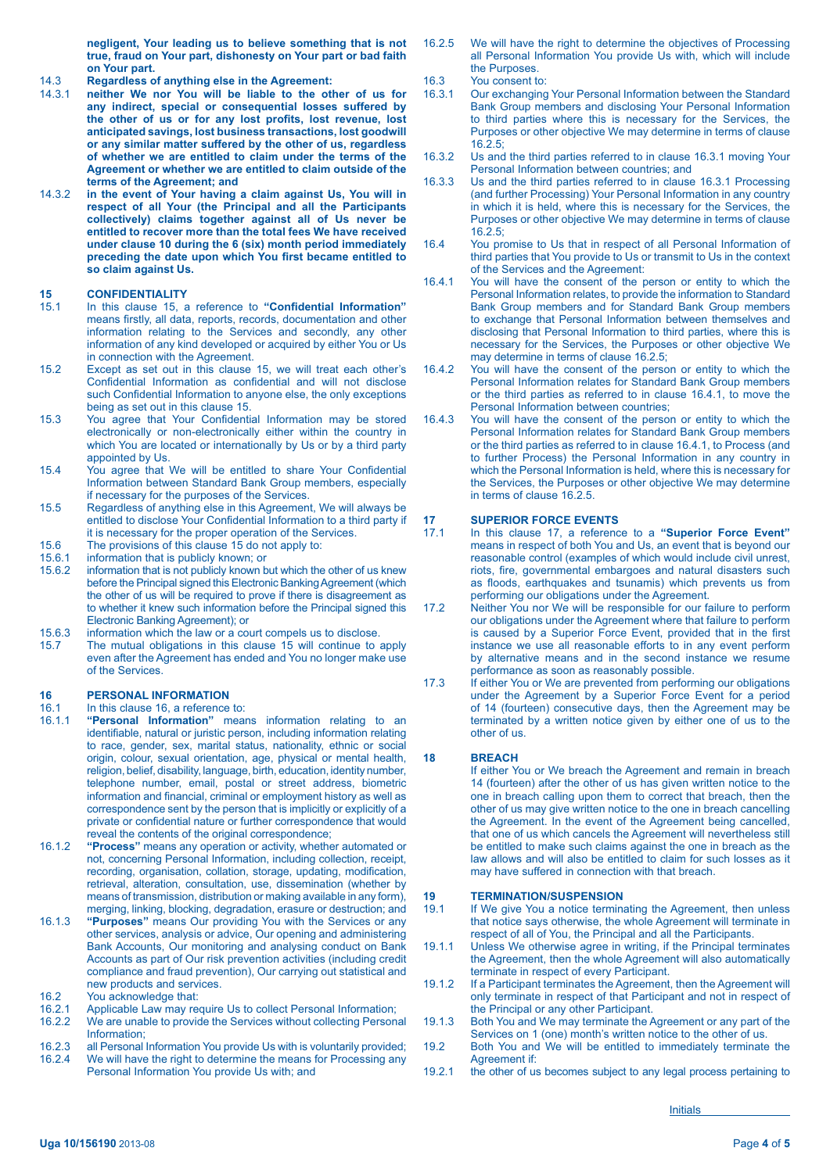**negligent, Your leading us to believe something that is not true, fraud on Your part, dishonesty on Your part or bad faith on Your part.**

- 14.3 **Regardless of anything else in the Agreement:**
- neither We nor You will be liable to the other of us for **any indirect, special or consequential losses suffered by**  the other of us or for any lost profits, lost revenue, lost **anticipated savings, lost business transactions, lost goodwill or any similar matter suffered by the other of us, regardless of whether we are entitled to claim under the terms of the Agreement or whether we are entitled to claim outside of the terms of the Agreement; and**
- 14.3.2 **in the event of Your having a claim against Us, You will in respect of all Your (the Principal and all the Participants collectively) claims together against all of Us never be entitled to recover more than the total fees We have received under clause 10 during the 6 (six) month period immediately**  preceding the date upon which You first became entitled to **so claim against Us.**

### 15 **CONFIDENTIALITY**<br>15.1 In this clause 15, a

- In this clause 15, a reference to "Confidential Information" means firstly, all data, reports, records, documentation and other information relating to the Services and secondly, any other information of any kind developed or acquired by either You or Us in connection with the Agreement.
- 15.2 Except as set out in this clause 15, we will treat each other's Confidential Information as confidential and will not disclose such Confidential Information to anyone else, the only exceptions being as set out in this clause 15.
- 15.3 You agree that Your Confidential Information may be stored electronically or non-electronically either within the country in which You are located or internationally by Us or by a third party appointed by Us.
- 15.4 You agree that We will be entitled to share Your Confidential Information between Standard Bank Group members, especially if necessary for the purposes of the Services.
- 15.5 Regardless of anything else in this Agreement, We will always be entitled to disclose Your Confidential Information to a third party if it is necessary for the proper operation of the Services.
- 15.6 The provisions of this clause 15 do not apply to:<br>15.6.1 information that is publicly known: or
- 
- 15.6.1 information that is publicly known; or<br>15.6.2 information that is not publicly known b information that is not publicly known but which the other of us knew before the Principal signed this Electronic Banking Agreement (which the other of us will be required to prove if there is disagreement as to whether it knew such information before the Principal signed this Electronic Banking Agreement); or
- 15.6.3 information which the law or a court compels us to disclose.<br>15.7 The mutual obligations in this clause 15 will continue to
- The mutual obligations in this clause  $15$  will continue to apply even after the Agreement has ended and You no longer make use of the Services.

# **16 PERSONAL INFORMATION**<br>16.1 In this clause 16, a reference

- 16.1 In this clause 16, a reference to:<br>16.1.1 **"Personal Information**" mear
- "Personal Information" means information relating to an identifiable, natural or juristic person, including information relating to race, gender, sex, marital status, nationality, ethnic or social origin, colour, sexual orientation, age, physical or mental health, religion, belief, disability, language, birth, education, identity number, telephone number, email, postal or street address, biometric information and financial, criminal or employment history as well as correspondence sent by the person that is implicitly or explicitly of a private or confidential nature or further correspondence that would reveal the contents of the original correspondence;
- 16.1.2 **"Process"** means any operation or activity, whether automated or not, concerning Personal Information, including collection, receipt, recording, organisation, collation, storage, updating, modification, retrieval, alteration, consultation, use, dissemination (whether by means of transmission, distribution or making available in any form), merging, linking, blocking, degradation, erasure or destruction; and
- 16.1.3 **"Purposes"** means Our providing You with the Services or any other services, analysis or advice, Our opening and administering Bank Accounts, Our monitoring and analysing conduct on Bank Accounts as part of Our risk prevention activities (including credit compliance and fraud prevention), Our carrying out statistical and new products and services.
- 16.2 You acknowledge that:<br>16.2.1 Applicable Law may re
- 16.2.1 Applicable Law may require Us to collect Personal Information;<br>16.2.2 We are unable to provide the Services without collecting Person
- We are unable to provide the Services without collecting Personal Information;
- 16.2.3 all Personal Information You provide Us with is voluntarily provided;<br>16.2.4 We will have the right to determine the means for Processing any We will have the right to determine the means for Processing any Personal Information You provide Us with; and
- 16.2.5 We will have the right to determine the objectives of Processing all Personal Information You provide Us with, which will include the Purposes.
- 16.3 You consent to:<br>16.3.1 Our exchanging
- Our exchanging Your Personal Information between the Standard Bank Group members and disclosing Your Personal Information to third parties where this is necessary for the Services, the Purposes or other objective We may determine in terms of clause 16.2.5;
- 16.3.2 Us and the third parties referred to in clause 16.3.1 moving Your Personal Information between countries; and
- 16.3.3 Us and the third parties referred to in clause 16.3.1 Processing (and further Processing) Your Personal Information in any country in which it is held, where this is necessary for the Services, the Purposes or other objective We may determine in terms of clause 16.2.5;
- 16.4 You promise to Us that in respect of all Personal Information of third parties that You provide to Us or transmit to Us in the context of the Services and the Agreement:
- 16.4.1 You will have the consent of the person or entity to which the Personal Information relates, to provide the information to Standard Bank Group members and for Standard Bank Group members to exchange that Personal Information between themselves and disclosing that Personal Information to third parties, where this is necessary for the Services, the Purposes or other objective We may determine in terms of clause 16.2.5;
- 16.4.2 You will have the consent of the person or entity to which the Personal Information relates for Standard Bank Group members or the third parties as referred to in clause 16.4.1, to move the Personal Information between countries;
- 16.4.3 You will have the consent of the person or entity to which the Personal Information relates for Standard Bank Group members or the third parties as referred to in clause 16.4.1, to Process (and to further Process) the Personal Information in any country in which the Personal Information is held, where this is necessary for the Services, the Purposes or other objective We may determine in terms of clause 16.2.5.

# **17 SUPERIOR FORCE EVENTS**<br>17.1 In this clause 17, a reference

- 17.1 In this clause 17, a reference to a **"Superior Force Event"** means in respect of both You and Us, an event that is beyond our reasonable control (examples of which would include civil unrest, riots, fire, governmental embargoes and natural disasters such as floods, earthquakes and tsunamis) which prevents us from performing our obligations under the Agreement.
- 17.2 Neither You nor We will be responsible for our failure to perform our obligations under the Agreement where that failure to perform is caused by a Superior Force Event, provided that in the first instance we use all reasonable efforts to in any event perform by alternative means and in the second instance we resume performance as soon as reasonably possible.
- 17.3 If either You or We are prevented from performing our obligations under the Agreement by a Superior Force Event for a period of 14 (fourteen) consecutive days, then the Agreement may be terminated by a written notice given by either one of us to the other of us.

### **18 BREACH**

 If either You or We breach the Agreement and remain in breach 14 (fourteen) after the other of us has given written notice to the one in breach calling upon them to correct that breach, then the other of us may give written notice to the one in breach cancelling the Agreement. In the event of the Agreement being cancelled, that one of us which cancels the Agreement will nevertheless still be entitled to make such claims against the one in breach as the law allows and will also be entitled to claim for such losses as it may have suffered in connection with that breach.

# **19 TERMINATION/SUSPENSION**<br>19.1 If We give You a notice termina

- If We give You a notice terminating the Agreement, then unless that notice says otherwise, the whole Agreement will terminate in respect of all of You, the Principal and all the Participants.
- 19.1.1 Unless We otherwise agree in writing, if the Principal terminates the Agreement, then the whole Agreement will also automatically terminate in respect of every Participant.
- 19.1.2 If a Participant terminates the Agreement, then the Agreement will only terminate in respect of that Participant and not in respect of the Principal or any other Participant.
- 19.1.3 Both You and We may terminate the Agreement or any part of the Services on 1 (one) month's written notice to the other of us.
- 19.2 Both You and We will be entitled to immediately terminate the Agreement if:
- 19.2.1 the other of us becomes subject to any legal process pertaining to